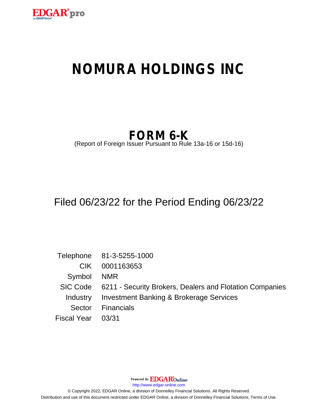

# **NOMURA HOLDINGS INC**

## **FORM 6-K**

(Report of Foreign Issuer Pursuant to Rule 13a-16 or 15d-16)

## Filed 06/23/22 for the Period Ending 06/23/22

|                    | Telephone 81-3-5255-1000                                          |
|--------------------|-------------------------------------------------------------------|
| CIK.               | 0001163653                                                        |
| Symbol NMR         |                                                                   |
|                    | SIC Code 6211 - Security Brokers, Dealers and Flotation Companies |
| Industry           | <b>Investment Banking &amp; Brokerage Services</b>                |
| Sector             | Financials                                                        |
| Fiscal Year  03/31 |                                                                   |

Powered By **EDGAR**Online

http://www.edgar-online.com

© Copyright 2022, EDGAR Online, a division of Donnelley Financial Solutions. All Rights Reserved. Distribution and use of this document restricted under EDGAR Online, a division of Donnelley Financial Solutions, Terms of Use.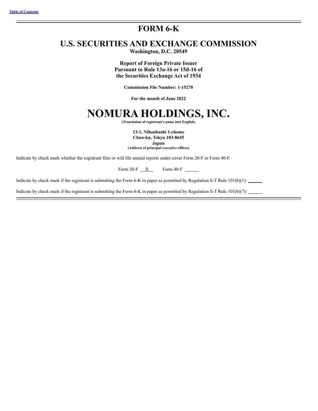### FORM 6-K

### **U.S. SECURITIES AND EXCHANGE COMMISSION**

Washington, D.C. 20549

**Report of Foreign Private Issuer** Pursuant to Rule 13a-16 or 15d-16 of the Securities Exchange Act of 1934

**Commission File Number: 1-15270** 

For the month of June 2022

### NOMURA HOLDINGS, INC.

(Translation of registrant's name into English)

13-1, Nihonbashi 1-chome Chuo-ku, Tokyo 103-8645

Japan

(Address of principal executive offices)

Indicate by check mark whether the registrant files or will file annual reports under cover Form 20-F or Form 40-F.

Form 20-F  $\overline{X}$  Form 40-F  $\overline{X}$ 

Indicate by check mark if the registrant is submitting the Form 6-K in paper as permitted by Regulation S-T Rule  $101(b)(1)$ :

Indicate by check mark if the registrant is submitting the Form 6-K in paper as permitted by Regulation S-T Rule  $101(b)(7)$ :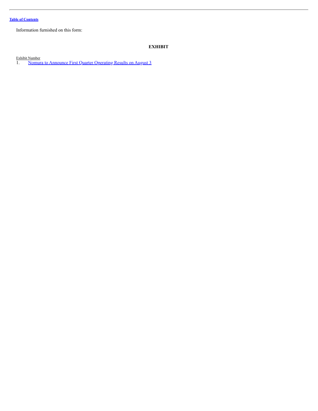Information furnished on this form:

#### <span id="page-2-0"></span>**EXHIBIT**

Exhibit Number 1. Nomura to [Announce](#page-4-0) First Quarter Operating Results on August 3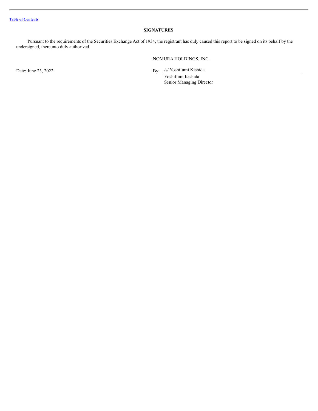#### **SIGNATURES**

Pursuant to the requirements of the Securities Exchange Act of 1934, the registrant has duly caused this report to be signed on its behalf by the undersigned, thereunto duly authorized.

NOMURA HOLDINGS, INC.

Date: June 23, 2022

By: /s/ Yoshifumi Kishida

Yoshifumi Kishida Senior Managing Director